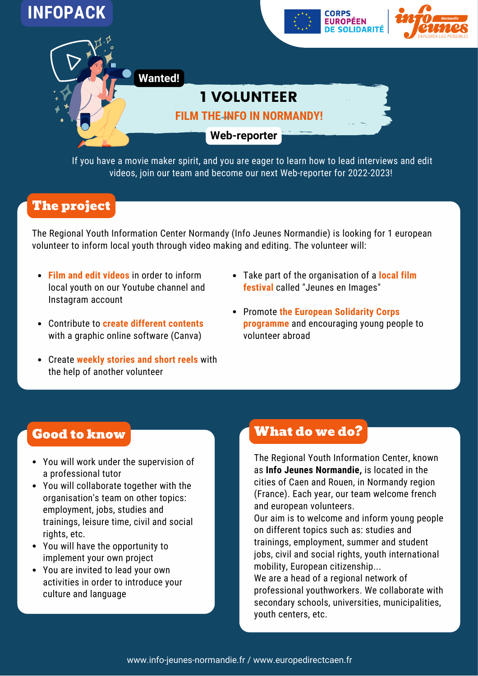

If you have a movie maker spirit, and you are eager to learn how to lead interviews and edit videos, join our team and become our next Web-reporter for 2022-2023!

## The project

The Regional Youth Information Center Normandy (Info Jeunes Normandie) is looking for 1 european volunteer to inform local youth through video making and editing. The volunteer will:

- **Film and edit videos** in order to inform local youth on our Youtube channel and Instagram account
- Contribute to **create different contents** with a graphic online software (Canva)
- Create **weekly stories and short reels** with the help of another volunteer
- Take part of the organisation of a **local film festival** called "Jeunes en Images"
- Promote **the European Solidarity Corps programme** and encouraging young people to volunteer abroad

## Good to know

- You will work under the supervision of a professional tutor
- You will collaborate together with the organisation's team on other topics: employment, jobs, studies and trainings, leisure time, civil and social rights, etc.
- You will have the opportunity to implement your own project
- You are invited to lead your own activities in order to introduce your culture and language

## What do we do?

The Regional Youth Information Center, known as **Info Jeunes Normandie,** is located in the cities of Caen and Rouen, in Normandy region (France). Each year, our team welcome french and european volunteers.

Our aim is to welcome and inform young people on different topics such as: studies and trainings, employment, summer and student jobs, civil and social rights, youth international mobility, European citizenship...

We are a head of a regional network of professional youthworkers. We collaborate with secondary schools, universities, municipalities, youth centers, etc.